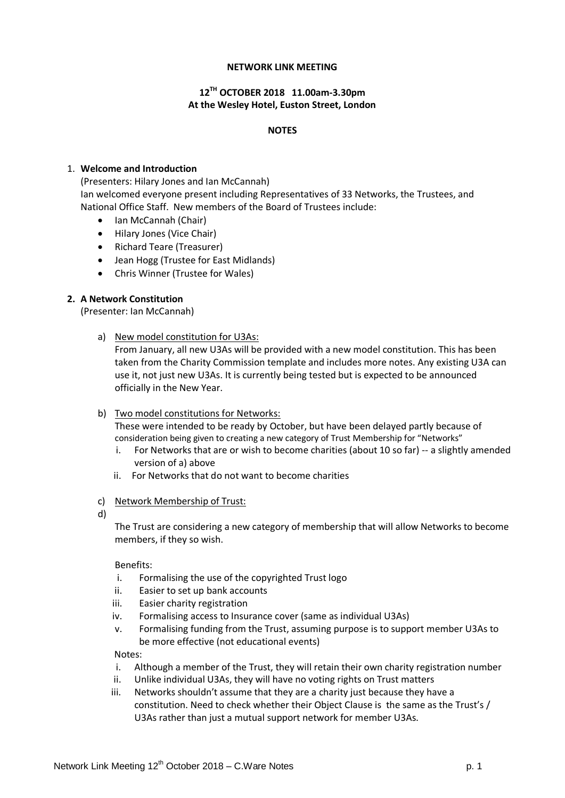### **NETWORK LINK MEETING**

# **12TH OCTOBER 2018 11.00am-3.30pm At the Wesley Hotel, Euston Street, London**

#### **NOTES**

#### 1. **Welcome and Introduction**

(Presenters: Hilary Jones and Ian McCannah) Ian welcomed everyone present including Representatives of 33 Networks, the Trustees, and National Office Staff. New members of the Board of Trustees include:

- Ian McCannah (Chair)
- Hilary Jones (Vice Chair)
- Richard Teare (Treasurer)
- Jean Hogg (Trustee for East Midlands)
- Chris Winner (Trustee for Wales)

### **2. A Network Constitution**

(Presenter: Ian McCannah)

a) New model constitution for U3As:

From January, all new U3As will be provided with a new model constitution. This has been taken from the Charity Commission template and includes more notes. Any existing U3A can use it, not just new U3As. It is currently being tested but is expected to be announced officially in the New Year.

b) Two model constitutions for Networks:

These were intended to be ready by October, but have been delayed partly because of consideration being given to creating a new category of Trust Membership for "Networks"

- i. For Networks that are or wish to become charities (about 10 so far) -- a slightly amended version of a) above
- ii. For Networks that do not want to become charities
- c) Network Membership of Trust:
- d)

The Trust are considering a new category of membership that will allow Networks to become members, if they so wish.

#### Benefits:

- i. Formalising the use of the copyrighted Trust logo
- ii. Easier to set up bank accounts
- iii. Easier charity registration
- iv. Formalising access to Insurance cover (same as individual U3As)
- v. Formalising funding from the Trust, assuming purpose is to support member U3As to be more effective (not educational events)

Notes:

- i. Although a member of the Trust, they will retain their own charity registration number
- ii. Unlike individual U3As, they will have no voting rights on Trust matters
- iii. Networks shouldn't assume that they are a charity just because they have a constitution. Need to check whether their Object Clause is the same as the Trust's / U3As rather than just a mutual support network for member U3As.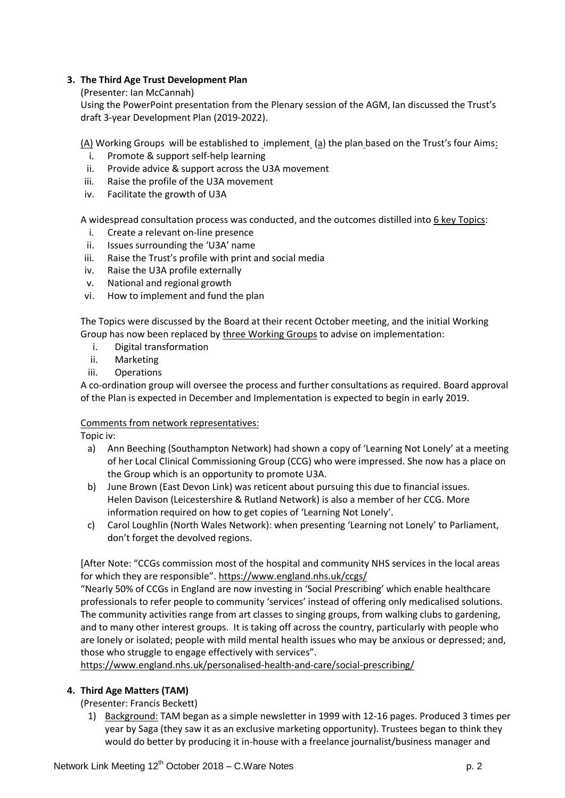# **3. The Third Age Trust Development Plan**

(Presenter: Ian McCannah)

Using the PowerPoint presentation from the Plenary session of the AGM, Ian discussed the Trust's draft 3-year Development Plan (2019-2022).

 $(A)$  Working Groups will be established to implement  $(a)$  the plan based on the Trust's four Aims:

- i. Promote & support self-help learning
- ii. Provide advice & support across the U3A movement
- iii. Raise the profile of the U3A movement
- iv. Facilitate the growth of U3A

A widespread consultation process was conducted, and the outcomes distilled into 6 key Topics:

- i. Create a relevant on-line presence
- ii. Issues surrounding the 'U3A' name
- iii. Raise the Trust's profile with print and social media
- iv. Raise the U3A profile externally
- v. National and regional growth
- vi. How to implement and fund the plan

The Topics were discussed by the Board at their recent October meeting, and the initial Working Group has now been replaced by three Working Groups to advise on implementation:

- i. Digital transformation
- ii. Marketing
- iii. Operations

A co-ordination group will oversee the process and further consultations as required. Board approval of the Plan is expected in December and Implementation is expected to begin in early 2019.

### Comments from network representatives:

Topic iv:

- a) Ann Beeching (Southampton Network) had shown a copy of 'Learning Not Lonely' at a meeting of her Local Clinical Commissioning Group (CCG) who were impressed. She now has a place on the Group which is an opportunity to promote U3A.
- b) June Brown (East Devon Link) was reticent about pursuing this due to financial issues. Helen Davison (Leicestershire & Rutland Network) is also a member of her CCG. More information required on how to get copies of 'Learning Not Lonely'.
- c) Carol Loughlin (North Wales Network): when presenting 'Learning not Lonely' to Parliament, don't forget the devolved regions.

[After Note: "CCGs commission most of the hospital and community NHS services in the local areas for which they are responsible"[. https://www.england.nhs.uk/ccgs/](https://www.england.nhs.uk/ccgs/)

"Nearly 50% of CCGs in England are now investing in 'Social Prescribing' which enable healthcare professionals to refer people to community 'services' instead of offering only medicalised solutions. The community activities range from art classes to singing groups, from walking clubs to gardening, and to many other interest groups. It is taking off across the country, particularly with people who are lonely or isolated; people with mild mental health issues who may be anxious or depressed; and, those who struggle to engage effectively with services".

<https://www.england.nhs.uk/personalised-health-and-care/social-prescribing/>

### **4. Third Age Matters (TAM)**

(Presenter: Francis Beckett)

1) Background: TAM began as a simple newsletter in 1999 with 12-16 pages. Produced 3 times per year by Saga (they saw it as an exclusive marketing opportunity). Trustees began to think they would do better by producing it in-house with a freelance journalist/business manager and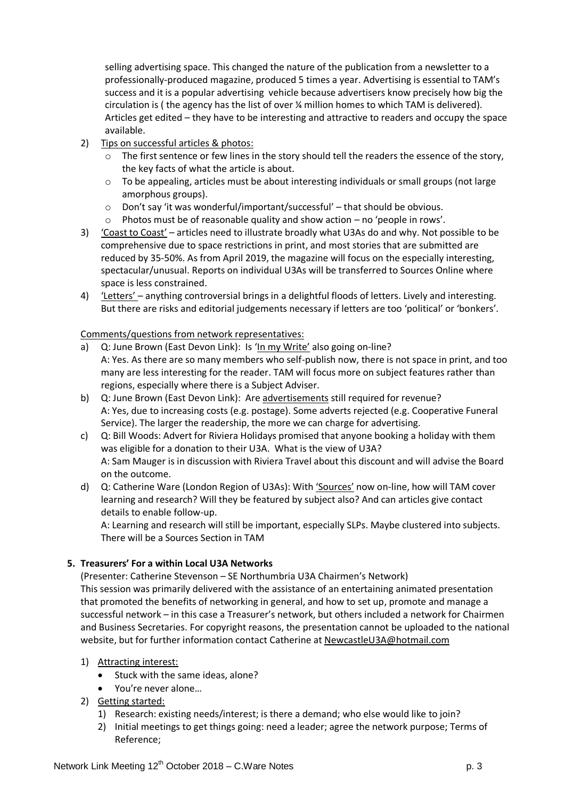selling advertising space. This changed the nature of the publication from a newsletter to a professionally-produced magazine, produced 5 times a year. Advertising is essential to TAM's success and it is a popular advertising vehicle because advertisers know precisely how big the circulation is ( the agency has the list of over ¼ million homes to which TAM is delivered). Articles get edited – they have to be interesting and attractive to readers and occupy the space available.

- 2) Tips on successful articles & photos:
	- The first sentence or few lines in the story should tell the readers the essence of the story, the key facts of what the article is about.
	- o To be appealing, articles must be about interesting individuals or small groups (not large amorphous groups).
	- $\circ$  Don't say 'it was wonderful/important/successful' that should be obvious.
	- o Photos must be of reasonable quality and show action no 'people in rows'.
- 3) 'Coast to Coast' articles need to illustrate broadly what U3As do and why. Not possible to be comprehensive due to space restrictions in print, and most stories that are submitted are reduced by 35-50%. As from April 2019, the magazine will focus on the especially interesting, spectacular/unusual. Reports on individual U3As will be transferred to Sources Online where space is less constrained.
- 4) 'Letters' anything controversial brings in a delightful floods of letters. Lively and interesting. But there are risks and editorial judgements necessary if letters are too 'political' or 'bonkers'.

### Comments/questions from network representatives:

- a) Q: June Brown (East Devon Link): Is 'In my Write' also going on-line? A: Yes. As there are so many members who self-publish now, there is not space in print, and too many are less interesting for the reader. TAM will focus more on subject features rather than regions, especially where there is a Subject Adviser.
- b) Q: June Brown (East Devon Link): Are advertisements still required for revenue? A: Yes, due to increasing costs (e.g. postage). Some adverts rejected (e.g. Cooperative Funeral Service). The larger the readership, the more we can charge for advertising.
- c) Q: Bill Woods: Advert for Riviera Holidays promised that anyone booking a holiday with them was eligible for a donation to their U3A. What is the view of U3A? A: Sam Mauger is in discussion with Riviera Travel about this discount and will advise the Board on the outcome.
- d) Q: Catherine Ware (London Region of U3As): With 'Sources' now on-line, how will TAM cover learning and research? Will they be featured by subject also? And can articles give contact details to enable follow-up.

A: Learning and research will still be important, especially SLPs. Maybe clustered into subjects. There will be a Sources Section in TAM

# **5. Treasurers' For a within Local U3A Networks**

(Presenter: Catherine Stevenson – SE Northumbria U3A Chairmen's Network) This session was primarily delivered with the assistance of an entertaining animated presentation that promoted the benefits of networking in general, and how to set up, promote and manage a successful network – in this case a Treasurer's network, but others included a network for Chairmen and Business Secretaries. For copyright reasons, the presentation cannot be uploaded to the national website, but for further information contact Catherine at [NewcastleU3A@hotmail.com](mailto:NewcastleU3A@hotmail.com)

- 1) Attracting interest:
	- Stuck with the same ideas, alone?
	- You're never alone…
- 2) Getting started:
	- 1) Research: existing needs/interest; is there a demand; who else would like to join?
	- 2) Initial meetings to get things going: need a leader; agree the network purpose; Terms of Reference;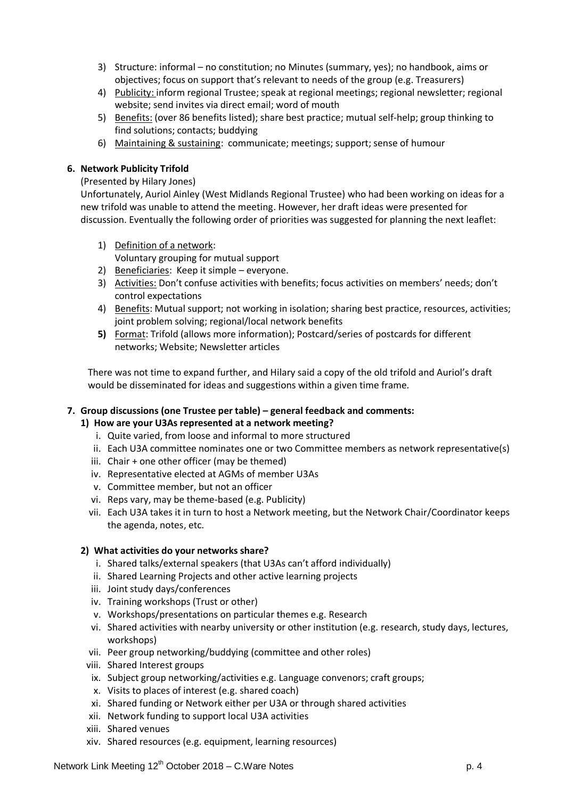- 3) Structure: informal no constitution; no Minutes (summary, yes); no handbook, aims or objectives; focus on support that's relevant to needs of the group (e.g. Treasurers)
- 4) Publicity: inform regional Trustee; speak at regional meetings; regional newsletter; regional website; send invites via direct email; word of mouth
- 5) Benefits: (over 86 benefits listed); share best practice; mutual self-help; group thinking to find solutions; contacts; buddying
- 6) Maintaining & sustaining: communicate; meetings; support; sense of humour

### **6. Network Publicity Trifold**

### (Presented by Hilary Jones)

Unfortunately, Auriol Ainley (West Midlands Regional Trustee) who had been working on ideas for a new trifold was unable to attend the meeting. However, her draft ideas were presented for discussion. Eventually the following order of priorities was suggested for planning the next leaflet:

- 1) Definition of a network: Voluntary grouping for mutual support
- 2) Beneficiaries: Keep it simple everyone.
- 3) Activities: Don't confuse activities with benefits; focus activities on members' needs; don't control expectations
- 4) Benefits: Mutual support; not working in isolation; sharing best practice, resources, activities; joint problem solving; regional/local network benefits
- **5)** Format: Trifold (allows more information); Postcard/series of postcards for different networks; Website; Newsletter articles

There was not time to expand further, and Hilary said a copy of the old trifold and Auriol's draft would be disseminated for ideas and suggestions within a given time frame.

### **7. Group discussions (one Trustee per table) – general feedback and comments:**

### **1) How are your U3As represented at a network meeting?**

- i. Quite varied, from loose and informal to more structured
- ii. Each U3A committee nominates one or two Committee members as network representative(s)
- iii. Chair + one other officer (may be themed)
- iv. Representative elected at AGMs of member U3As
- v. Committee member, but not an officer
- vi. Reps vary, may be theme-based (e.g. Publicity)
- vii. Each U3A takes it in turn to host a Network meeting, but the Network Chair/Coordinator keeps the agenda, notes, etc.

### **2) What activities do your networks share?**

- i. Shared talks/external speakers (that U3As can't afford individually)
- ii. Shared Learning Projects and other active learning projects
- iii. Joint study days/conferences
- iv. Training workshops (Trust or other)
- v. Workshops/presentations on particular themes e.g. Research
- vi. Shared activities with nearby university or other institution (e.g. research, study days, lectures, workshops)
- vii. Peer group networking/buddying (committee and other roles)
- viii. Shared Interest groups
- ix. Subject group networking/activities e.g. Language convenors; craft groups;
- x. Visits to places of interest (e.g. shared coach)
- xi. Shared funding or Network either per U3A or through shared activities
- xii. Network funding to support local U3A activities
- xiii. Shared venues
- xiv. Shared resources (e.g. equipment, learning resources)